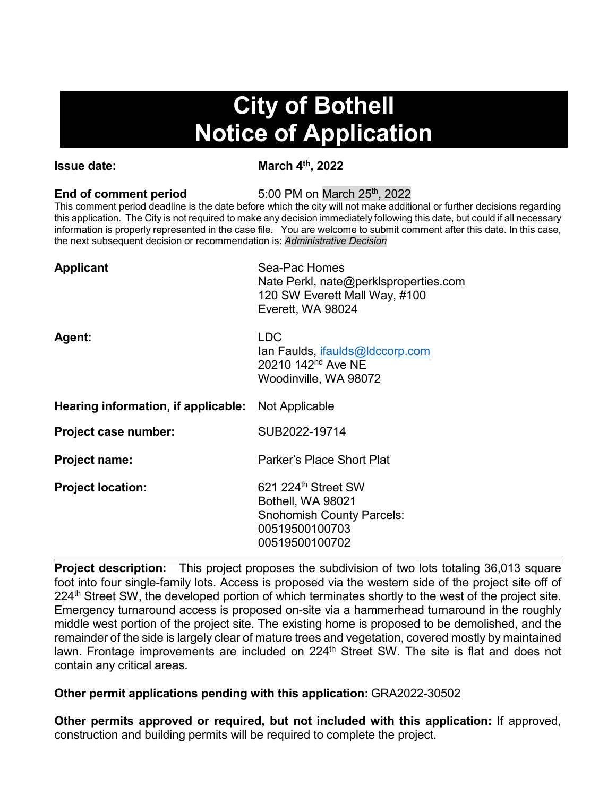# **City of Bothell Notice of Application**

**Issue date:** March 4<sup>th</sup>, 2022

**End of comment period** 5:00 PM on March 25<sup>th</sup>, 2022

This comment period deadline is the date before which the city will not make additional or further decisions regarding this application. The City is not required to make any decision immediately following this date, but could if all necessary information is properly represented in the case file. You are welcome to submit comment after this date. In this case, the next subsequent decision or recommendation is: *Administrative Decision*

| <b>Applicant</b>                                          | Sea-Pac Homes<br>Nate Perkl, nate@perklsproperties.com<br>120 SW Everett Mall Way, #100<br>Everett, WA 98024                 |
|-----------------------------------------------------------|------------------------------------------------------------------------------------------------------------------------------|
| Agent:                                                    | <b>LDC</b><br>lan Faulds, ifaulds@ldccorp.com<br>20210 142 <sup>nd</sup> Ave NE<br>Woodinville, WA 98072                     |
| <b>Hearing information, if applicable:</b> Not Applicable |                                                                                                                              |
| Project case number:                                      | SUB2022-19714                                                                                                                |
| <b>Project name:</b>                                      | Parker's Place Short Plat                                                                                                    |
| <b>Project location:</b>                                  | 621 224 <sup>th</sup> Street SW<br>Bothell, WA 98021<br><b>Snohomish County Parcels:</b><br>00519500100703<br>00519500100702 |

**Project description:** This project proposes the subdivision of two lots totaling 36,013 square foot into four single-family lots. Access is proposed via the western side of the project site off of 224<sup>th</sup> Street SW, the developed portion of which terminates shortly to the west of the project site. Emergency turnaround access is proposed on-site via a hammerhead turnaround in the roughly middle west portion of the project site. The existing home is proposed to be demolished, and the remainder of the side is largely clear of mature trees and vegetation, covered mostly by maintained lawn. Frontage improvements are included on 224<sup>th</sup> Street SW. The site is flat and does not contain any critical areas.

## **Other permit applications pending with this application:** GRA2022-30502

**Other permits approved or required, but not included with this application:** If approved, construction and building permits will be required to complete the project.